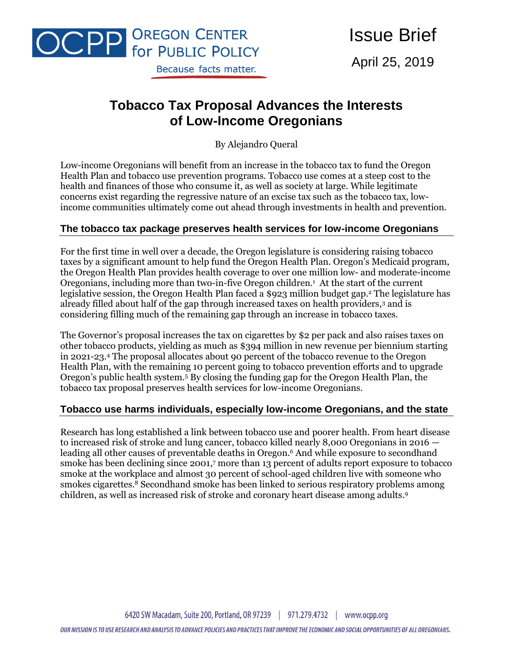

Issue Brief April 25, 2019

# **Tobacco Tax Proposal Advances the Interests of Low-Income Oregonians**

By Alejandro Queral

Low-income Oregonians will benefit from an increase in the tobacco tax to fund the Oregon Health Plan and tobacco use prevention programs. Tobacco use comes at a steep cost to the health and finances of those who consume it, as well as society at large. While legitimate concerns exist regarding the regressive nature of an excise tax such as the tobacco tax, lowincome communities ultimately come out ahead through investments in health and prevention.

## **The tobacco tax package preserves health services for low-income Oregonians**

For the first time in well over a decade, the Oregon legislature is considering raising tobacco taxes by a significant amount to help fund the Oregon Health Plan. Oregon's Medicaid program, the Oregon Health Plan provides health coverage to over one million low- and moderate-income Oregonians, including more than two-in-five Oregon children.<sup>1</sup> At the start of the current legislative session, the Oregon Health Plan faced a \$923 million budget gap.<sup>2</sup> The legislature has already filled about half of the gap through increased taxes on health providers,<sup>3</sup> and is considering filling much of the remaining gap through an increase in tobacco taxes.

The Governor's proposal increases the tax on cigarettes by \$2 per pack and also raises taxes on other tobacco products, yielding as much as \$394 million in new revenue per biennium starting in 2021-23.<sup>4</sup> The proposal allocates about 90 percent of the tobacco revenue to the Oregon Health Plan, with the remaining 10 percent going to tobacco prevention efforts and to upgrade Oregon's public health system.<sup>5</sup> By closing the funding gap for the Oregon Health Plan, the tobacco tax proposal preserves health services for low-income Oregonians.

## **Tobacco use harms individuals, especially low-income Oregonians, and the state**

Research has long established a link between tobacco use and poorer health. From heart disease to increased risk of stroke and lung cancer, tobacco killed nearly 8,000 Oregonians in 2016 leading all other causes of preventable deaths in Oregon.<sup>6</sup> And while exposure to secondhand smoke has been declining since 2001, <sup>7</sup> more than 13 percent of adults report exposure to tobacco smoke at the workplace and almost 30 percent of school-aged children live with someone who smokes cigarettes. $\frac{8}{9}$  Secondhand smoke has been linked to serious respiratory problems among children, as well as increased risk of stroke and coronary heart disease among adults.9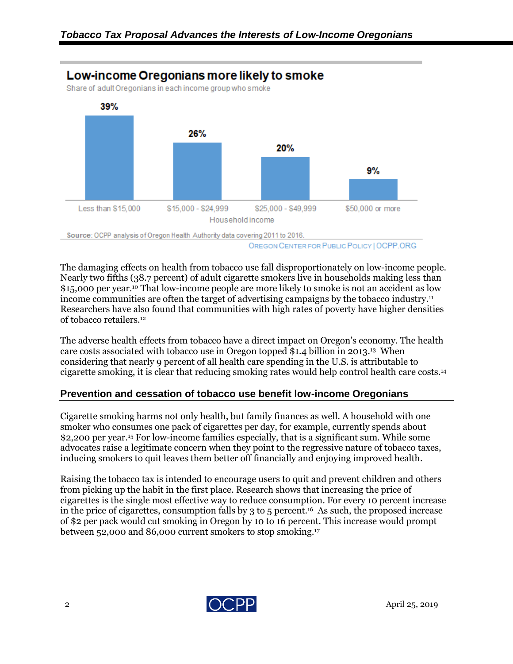

OREGON CENTER FOR PUBLIC POLICY | OCPP.ORG

The damaging effects on health from tobacco use fall disproportionately on low-income people. Nearly two fifths (38.7 percent) of adult cigarette smokers live in households making less than \$15,000 per year.<sup>10</sup> That low-income people are more likely to smoke is not an accident as low income communities are often the target of advertising campaigns by the tobacco industry.<sup>11</sup> Researchers have also found that communities with high rates of poverty have higher densities of tobacco retailers.<sup>12</sup>

The adverse health effects from tobacco have a direct impact on Oregon's economy. The health care costs associated with tobacco use in Oregon topped \$1.4 billion in 2013.<sup>13</sup> When considering that nearly 9 percent of all health care spending in the U.S. is attributable to cigarette smoking, it is clear that reducing smoking rates would help control health care costs.<sup>14</sup>

## **Prevention and cessation of tobacco use benefit low-income Oregonians**

Cigarette smoking harms not only health, but family finances as well. A household with one smoker who consumes one pack of cigarettes per day, for example, currently spends about \$2,200 per year.<sup>15</sup> For low-income families especially, that is a significant sum. While some advocates raise a legitimate concern when they point to the regressive nature of tobacco taxes, inducing smokers to quit leaves them better off financially and enjoying improved health.

Raising the tobacco tax is intended to encourage users to quit and prevent children and others from picking up the habit in the first place. Research shows that increasing the price of cigarettes is the single most effective way to reduce consumption. For every 10 percent increase in the price of cigarettes, consumption falls by 3 to 5 percent.<sup>16</sup> As such, the proposed increase of \$2 per pack would cut smoking in Oregon by 10 to 16 percent. This increase would prompt between 52,000 and 86,000 current smokers to stop smoking.17

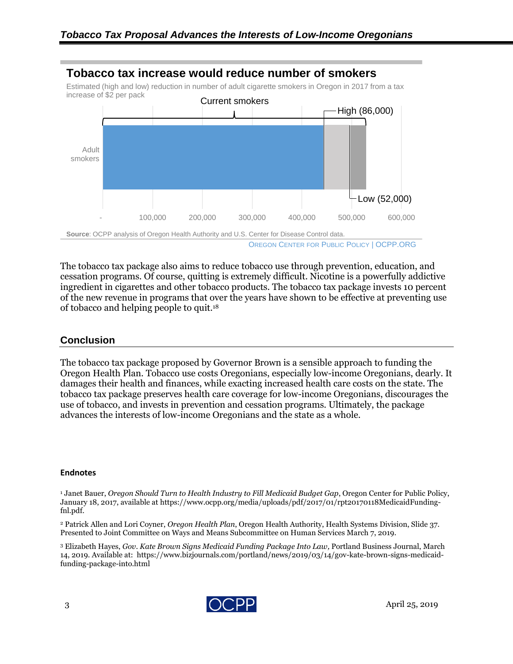

The tobacco tax package also aims to reduce tobacco use through prevention, education, and cessation programs. Of course, quitting is extremely difficult. Nicotine is a powerfully addictive ingredient in cigarettes and other tobacco products. The tobacco tax package invests 10 percent of the new revenue in programs that over the years have shown to be effective at preventing use of tobacco and helping people to quit.<sup>18</sup>

#### **Conclusion**

The tobacco tax package proposed by Governor Brown is a sensible approach to funding the Oregon Health Plan. Tobacco use costs Oregonians, especially low-income Oregonians, dearly. It damages their health and finances, while exacting increased health care costs on the state. The tobacco tax package preserves health care coverage for low-income Oregonians, discourages the use of tobacco, and invests in prevention and cessation programs. Ultimately, the package advances the interests of low-income Oregonians and the state as a whole.

#### **Endnotes**

<sup>1</sup> Janet Bauer, *Oregon Should Turn to Health Industry to Fill Medicaid Budget Gap*, Oregon Center for Public Policy, January 18, 2017, available at https://www.ocpp.org/media/uploads/pdf/2017/01/rpt20170118MedicaidFundingfnl.pdf.

<sup>2</sup> Patrick Allen and Lori Coyner, *Oregon Health Plan*, Oregon Health Authority, Health Systems Division, Slide 37. Presented to Joint Committee on Ways and Means Subcommittee on Human Services March 7, 2019.

<sup>3</sup> Elizabeth Hayes, *Gov. Kate Brown Signs Medicaid Funding Package Into Law,* Portland Business Journal, March 14, 2019. Available at: https://www.bizjournals.com/portland/news/2019/03/14/gov-kate-brown-signs-medicaidfunding-package-into.html